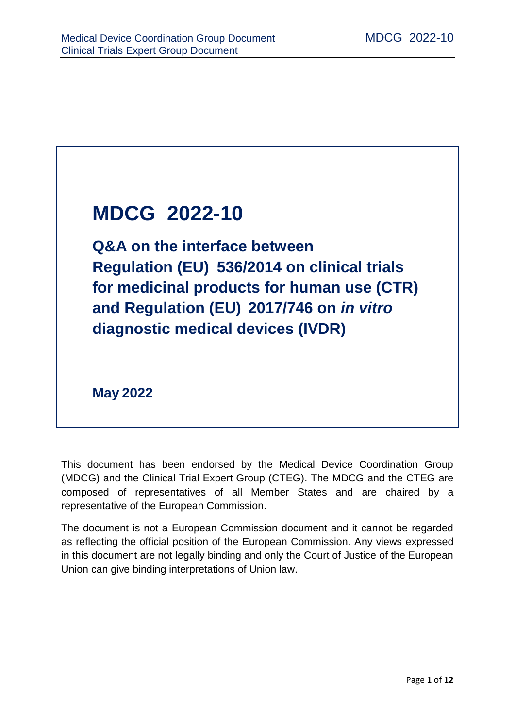# **MDCG 2022-10**

**Q&A on the interface between Regulation (EU) 536/2014 on clinical trials for medicinal products for human use (CTR) and Regulation (EU) 2017/746 on** *in vitro* **diagnostic medical devices (IVDR)**

**May 2022**

This document has been endorsed by the Medical Device Coordination Group (MDCG) and the Clinical Trial Expert Group (CTEG). The MDCG and the CTEG are composed of representatives of all Member States and are chaired by a representative of the European Commission.

The document is not a European Commission document and it cannot be regarded as reflecting the official position of the European Commission. Any views expressed in this document are not legally binding and only the Court of Justice of the European Union can give binding interpretations of Union law.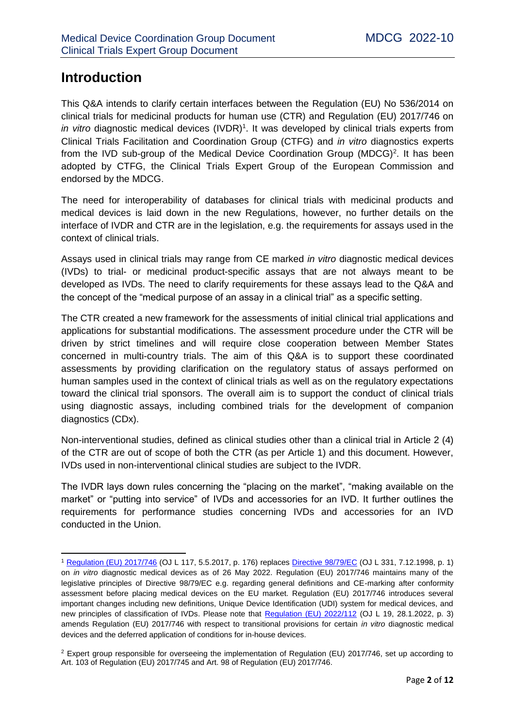## **Introduction**

**.** 

This Q&A intends to clarify certain interfaces between the Regulation (EU) No 536/2014 on clinical trials for medicinal products for human use (CTR) and Regulation (EU) 2017/746 on in vitro diagnostic medical devices (IVDR)<sup>1</sup>. It was developed by clinical trials experts from Clinical Trials Facilitation and Coordination Group (CTFG) and *in vitro* diagnostics experts from the IVD sub-group of the Medical Device Coordination Group (MDCG)<sup>2</sup>. It has been adopted by CTFG, the Clinical Trials Expert Group of the European Commission and endorsed by the MDCG.

The need for interoperability of databases for clinical trials with medicinal products and medical devices is laid down in the new Regulations, however, no further details on the interface of IVDR and CTR are in the legislation, e.g. the requirements for assays used in the context of clinical trials.

Assays used in clinical trials may range from CE marked *in vitro* diagnostic medical devices (IVDs) to trial- or medicinal product-specific assays that are not always meant to be developed as IVDs. The need to clarify requirements for these assays lead to the Q&A and the concept of the "medical purpose of an assay in a clinical trial" as a specific setting.

The CTR created a new framework for the assessments of initial clinical trial applications and applications for substantial modifications. The assessment procedure under the CTR will be driven by strict timelines and will require close cooperation between Member States concerned in multi-country trials. The aim of this Q&A is to support these coordinated assessments by providing clarification on the regulatory status of assays performed on human samples used in the context of clinical trials as well as on the regulatory expectations toward the clinical trial sponsors. The overall aim is to support the conduct of clinical trials using diagnostic assays, including combined trials for the development of companion diagnostics (CDx).

Non-interventional studies, defined as clinical studies other than a clinical trial in Article 2 (4) of the CTR are out of scope of both the CTR (as per Article 1) and this document. However, IVDs used in non-interventional clinical studies are subject to the IVDR.

The IVDR lays down rules concerning the "placing on the market", "making available on the market" or "putting into service" of IVDs and accessories for an IVD. It further outlines the requirements for performance studies concerning IVDs and accessories for an IVD conducted in the Union.

<sup>&</sup>lt;sup>1</sup> [Regulation \(EU\) 2017/746](https://eur-lex.europa.eu/eli/reg/2017/746/oj) (OJ L 117, 5.5.2017, p. 176) replaces *Directive 98/79/EC* (OJ L 331, 7.12.1998, p. 1) on *in vitro* diagnostic medical devices as of 26 May 2022. Regulation (EU) 2017/746 maintains many of the legislative principles of Directive 98/79/EC e.g. regarding general definitions and CE-marking after conformity assessment before placing medical devices on the EU market. Regulation (EU) 2017/746 introduces several important changes including new definitions, Unique Device Identification (UDI) system for medical devices, and new principles of classification of IVDs. Please note that [Regulation \(EU\) 2022/112](https://eur-lex.europa.eu/legal-content/EN/TXT/?uri=CELEX%3A32022R0112) (OJ L 19, 28.1.2022, p. 3) amends Regulation (EU) 2017/746 with respect to transitional provisions for certain *in vitro* diagnostic medical devices and the deferred application of conditions for in-house devices.

<sup>2</sup> Expert group responsible for overseeing the implementation of Regulation (EU) 2017/746, set up according to Art. 103 of Regulation (EU) 2017/745 and Art. 98 of Regulation (EU) 2017/746.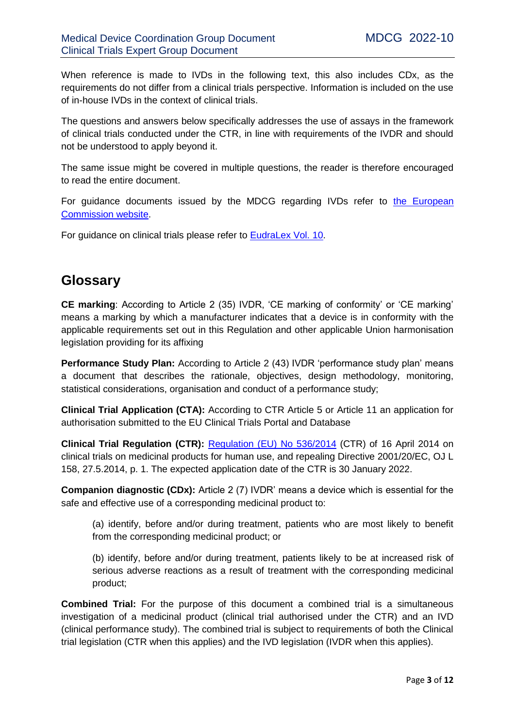When reference is made to IVDs in the following text, this also includes CDx, as the requirements do not differ from a clinical trials perspective. Information is included on the use of in-house IVDs in the context of clinical trials.

The questions and answers below specifically addresses the use of assays in the framework of clinical trials conducted under the CTR, in line with requirements of the IVDR and should not be understood to apply beyond it.

The same issue might be covered in multiple questions, the reader is therefore encouraged to read the entire document.

For guidance documents issued by the MDCG regarding IVDs refer to the European [Commission website.](https://ec.europa.eu/health/md_sector/new_regulations/guidance_en)

For guidance on clinical trials please refer to [EudraLex Vol. 10.](https://ec.europa.eu/health/documents/eudralex/vol-10_en)

### **Glossary**

**CE marking**: According to Article 2 (35) IVDR, 'CE marking of conformity' or 'CE marking' means a marking by which a manufacturer indicates that a device is in conformity with the applicable requirements set out in this Regulation and other applicable Union harmonisation legislation providing for its affixing

**Performance Study Plan:** According to Article 2 (43) IVDR 'performance study plan' means a document that describes the rationale, objectives, design methodology, monitoring, statistical considerations, organisation and conduct of a performance study;

**Clinical Trial Application (CTA):** According to CTR Article 5 or Article 11 an application for authorisation submitted to the EU Clinical Trials Portal and Database

**Clinical Trial Regulation (CTR):** [Regulation \(EU\) No 536/2014](https://eur-lex.europa.eu/legal-content/EN/TXT/?uri=celex%3A32014R0536) (CTR) of 16 April 2014 on clinical trials on medicinal products for human use, and repealing Directive 2001/20/EC, OJ L 158, 27.5.2014, p. 1. The expected application date of the CTR is 30 January 2022.

**Companion diagnostic (CDx):** Article 2 (7) IVDR' means a device which is essential for the safe and effective use of a corresponding medicinal product to:

(a) identify, before and/or during treatment, patients who are most likely to benefit from the corresponding medicinal product; or

(b) identify, before and/or during treatment, patients likely to be at increased risk of serious adverse reactions as a result of treatment with the corresponding medicinal product;

**Combined Trial:** For the purpose of this document a combined trial is a simultaneous investigation of a medicinal product (clinical trial authorised under the CTR) and an IVD (clinical performance study). The combined trial is subject to requirements of both the Clinical trial legislation (CTR when this applies) and the IVD legislation (IVDR when this applies).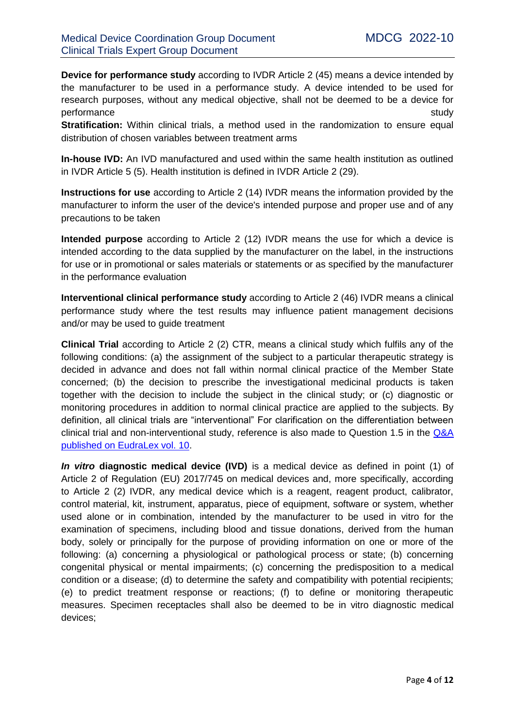**Device for performance study** according to IVDR Article 2 (45) means a device intended by the manufacturer to be used in a performance study. A device intended to be used for research purposes, without any medical objective, shall not be deemed to be a device for performance study study and study study study and study study study study study study study study study study

**Stratification:** Within clinical trials, a method used in the randomization to ensure equal distribution of chosen variables between treatment arms

**In-house IVD:** An IVD manufactured and used within the same health institution as outlined in IVDR Article 5 (5). Health institution is defined in IVDR Article 2 (29).

**Instructions for use** according to Article 2 (14) IVDR means the information provided by the manufacturer to inform the user of the device's intended purpose and proper use and of any precautions to be taken

**Intended purpose** according to Article 2 (12) IVDR means the use for which a device is intended according to the data supplied by the manufacturer on the label, in the instructions for use or in promotional or sales materials or statements or as specified by the manufacturer in the performance evaluation

**Interventional clinical performance study** according to Article 2 (46) IVDR means a clinical performance study where the test results may influence patient management decisions and/or may be used to guide treatment

**Clinical Trial** according to Article 2 (2) CTR, means a clinical study which fulfils any of the following conditions: (a) the assignment of the subject to a particular therapeutic strategy is decided in advance and does not fall within normal clinical practice of the Member State concerned; (b) the decision to prescribe the investigational medicinal products is taken together with the decision to include the subject in the clinical study; or (c) diagnostic or monitoring procedures in addition to normal clinical practice are applied to the subjects. By definition, all clinical trials are "interventional" For clarification on the differentiation between clinical trial and non-interventional study, reference is also made to Question 1.5 in the Q&A [published on EudraLex vol. 10.](https://ec.europa.eu/health/documents/eudralex/vol-10_en#fragment1)

*In vitro* **diagnostic medical device (IVD)** is a medical device as defined in point (1) of Article 2 of Regulation (EU) 2017/745 on medical devices and, more specifically, according to Article 2 (2) IVDR, any medical device which is a reagent, reagent product, calibrator, control material, kit, instrument, apparatus, piece of equipment, software or system, whether used alone or in combination, intended by the manufacturer to be used in vitro for the examination of specimens, including blood and tissue donations, derived from the human body, solely or principally for the purpose of providing information on one or more of the following: (a) concerning a physiological or pathological process or state; (b) concerning congenital physical or mental impairments; (c) concerning the predisposition to a medical condition or a disease; (d) to determine the safety and compatibility with potential recipients; (e) to predict treatment response or reactions; (f) to define or monitoring therapeutic measures. Specimen receptacles shall also be deemed to be in vitro diagnostic medical devices;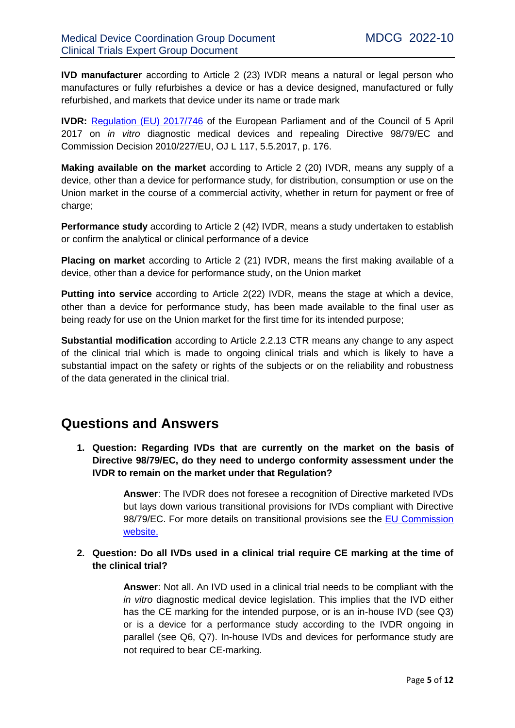**IVD manufacturer** according to Article 2 (23) IVDR means a natural or legal person who manufactures or fully refurbishes a device or has a device designed, manufactured or fully refurbished, and markets that device under its name or trade mark

**IVDR:** [Regulation \(EU\) 2017/746](https://eur-lex.europa.eu/eli/reg/2017/746/oj) of the European Parliament and of the Council of 5 April 2017 on *in vitro* diagnostic medical devices and repealing Directive 98/79/EC and Commission Decision 2010/227/EU, OJ L 117, 5.5.2017, p. 176.

**Making available on the market** according to Article 2 (20) IVDR, means any supply of a device, other than a device for performance study, for distribution, consumption or use on the Union market in the course of a commercial activity, whether in return for payment or free of charge;

**Performance study** according to Article 2 (42) IVDR, means a study undertaken to establish or confirm the analytical or clinical performance of a device

**Placing on market** according to Article 2 (21) IVDR, means the first making available of a device, other than a device for performance study, on the Union market

**Putting into service** according to Article 2(22) IVDR, means the stage at which a device, other than a device for performance study, has been made available to the final user as being ready for use on the Union market for the first time for its intended purpose;

**Substantial modification** according to Article 2.2.13 CTR means any change to any aspect of the clinical trial which is made to ongoing clinical trials and which is likely to have a substantial impact on the safety or rights of the subjects or on the reliability and robustness of the data generated in the clinical trial.

## **Questions and Answers**

**1. Question: Regarding IVDs that are currently on the market on the basis of Directive 98/79/EC, do they need to undergo conformity assessment under the IVDR to remain on the market under that Regulation?**

> **Answer**: The IVDR does not foresee a recognition of Directive marketed IVDs but lays down various transitional provisions for IVDs compliant with Directive 98/79/EC. For more details on transitional provisions see the EU Commission [website.](https://ec.europa.eu/health/md_sector/new_regulations_en)

#### **2. Question: Do all IVDs used in a clinical trial require CE marking at the time of the clinical trial?**

**Answer**: Not all. An IVD used in a clinical trial needs to be compliant with the *in vitro* diagnostic medical device legislation. This implies that the IVD either has the CE marking for the intended purpose, or is an in-house IVD (see Q3) or is a device for a performance study according to the IVDR ongoing in parallel (see Q6, Q7). In-house IVDs and devices for performance study are not required to bear CE-marking.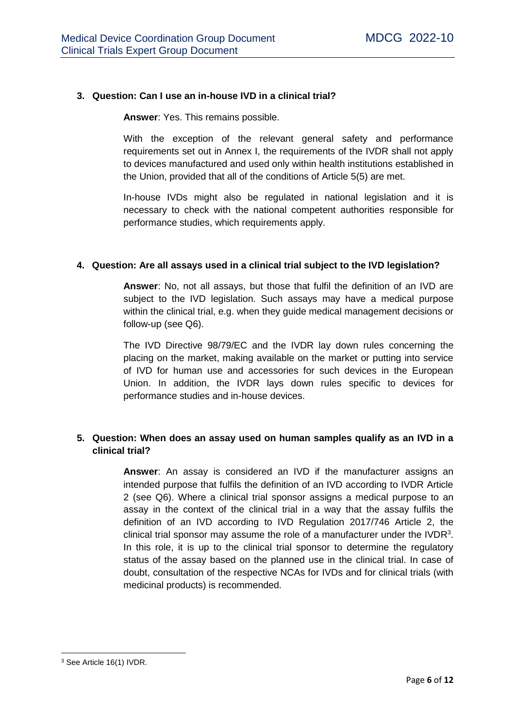#### **3. Question: Can I use an in-house IVD in a clinical trial?**

**Answer**: Yes. This remains possible.

With the exception of the relevant general safety and performance requirements set out in Annex I, the requirements of the IVDR shall not apply to devices manufactured and used only within health institutions established in the Union, provided that all of the conditions of Article 5(5) are met.

In-house IVDs might also be regulated in national legislation and it is necessary to check with the national competent authorities responsible for performance studies, which requirements apply.

#### **4. Question: Are all assays used in a clinical trial subject to the IVD legislation?**

**Answer**: No, not all assays, but those that fulfil the definition of an IVD are subject to the IVD legislation. Such assays may have a medical purpose within the clinical trial, e.g. when they guide medical management decisions or follow-up (see Q6).

The IVD Directive 98/79/EC and the IVDR lay down rules concerning the placing on the market, making available on the market or putting into service of IVD for human use and accessories for such devices in the European Union. In addition, the IVDR lays down rules specific to devices for performance studies and in-house devices.

#### **5. Question: When does an assay used on human samples qualify as an IVD in a clinical trial?**

**Answer**: An assay is considered an IVD if the manufacturer assigns an intended purpose that fulfils the definition of an IVD according to IVDR Article 2 (see Q6). Where a clinical trial sponsor assigns a medical purpose to an assay in the context of the clinical trial in a way that the assay fulfils the definition of an IVD according to IVD Regulation 2017/746 Article 2, the clinical trial sponsor may assume the role of a manufacturer under the IVDR $3$ . In this role, it is up to the clinical trial sponsor to determine the regulatory status of the assay based on the planned use in the clinical trial. In case of doubt, consultation of the respective NCAs for IVDs and for clinical trials (with medicinal products) is recommended.

**<sup>.</sup>** <sup>3</sup> See Article 16(1) IVDR.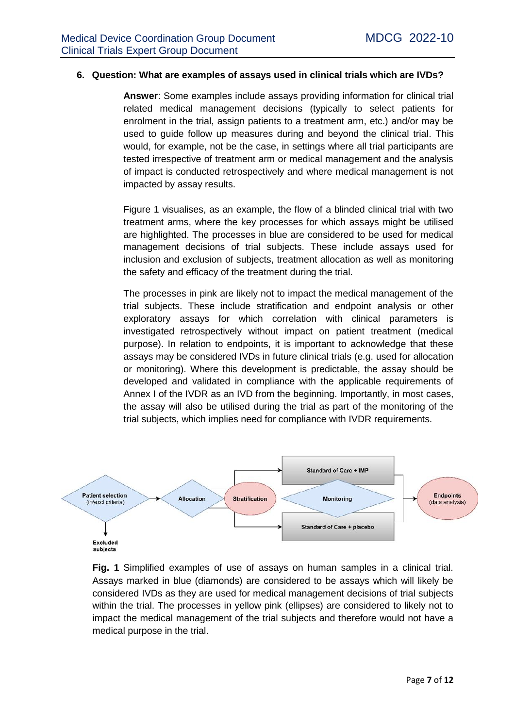#### **6. Question: What are examples of assays used in clinical trials which are IVDs?**

**Answer**: Some examples include assays providing information for clinical trial related medical management decisions (typically to select patients for enrolment in the trial, assign patients to a treatment arm, etc.) and/or may be used to guide follow up measures during and beyond the clinical trial. This would, for example, not be the case, in settings where all trial participants are tested irrespective of treatment arm or medical management and the analysis of impact is conducted retrospectively and where medical management is not impacted by assay results.

Figure 1 visualises, as an example, the flow of a blinded clinical trial with two treatment arms, where the key processes for which assays might be utilised are highlighted. The processes in blue are considered to be used for medical management decisions of trial subjects. These include assays used for inclusion and exclusion of subjects, treatment allocation as well as monitoring the safety and efficacy of the treatment during the trial.

The processes in pink are likely not to impact the medical management of the trial subjects. These include stratification and endpoint analysis or other exploratory assays for which correlation with clinical parameters is investigated retrospectively without impact on patient treatment (medical purpose). In relation to endpoints, it is important to acknowledge that these assays may be considered IVDs in future clinical trials (e.g. used for allocation or monitoring). Where this development is predictable, the assay should be developed and validated in compliance with the applicable requirements of Annex I of the IVDR as an IVD from the beginning. Importantly, in most cases, the assay will also be utilised during the trial as part of the monitoring of the trial subjects, which implies need for compliance with IVDR requirements.



**Fig. 1** Simplified examples of use of assays on human samples in a clinical trial. Assays marked in blue (diamonds) are considered to be assays which will likely be considered IVDs as they are used for medical management decisions of trial subjects within the trial. The processes in yellow pink (ellipses) are considered to likely not to impact the medical management of the trial subjects and therefore would not have a medical purpose in the trial.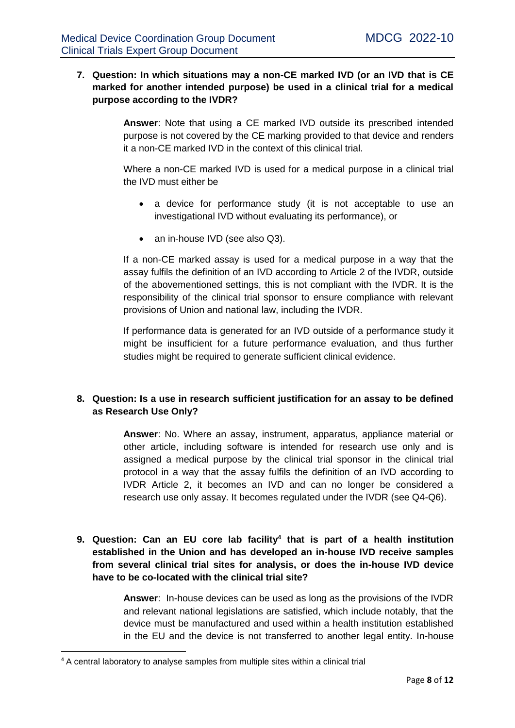#### **7. Question: In which situations may a non-CE marked IVD (or an IVD that is CE marked for another intended purpose) be used in a clinical trial for a medical purpose according to the IVDR?**

**Answer**: Note that using a CE marked IVD outside its prescribed intended purpose is not covered by the CE marking provided to that device and renders it a non-CE marked IVD in the context of this clinical trial.

Where a non-CE marked IVD is used for a medical purpose in a clinical trial the IVD must either be

- a device for performance study (it is not acceptable to use an investigational IVD without evaluating its performance), or
- an in-house IVD (see also Q3).

If a non-CE marked assay is used for a medical purpose in a way that the assay fulfils the definition of an IVD according to Article 2 of the IVDR, outside of the abovementioned settings, this is not compliant with the IVDR. It is the responsibility of the clinical trial sponsor to ensure compliance with relevant provisions of Union and national law, including the IVDR.

If performance data is generated for an IVD outside of a performance study it might be insufficient for a future performance evaluation, and thus further studies might be required to generate sufficient clinical evidence.

#### **8. Question: Is a use in research sufficient justification for an assay to be defined as Research Use Only?**

**Answer**: No. Where an assay, instrument, apparatus, appliance material or other article, including software is intended for research use only and is assigned a medical purpose by the clinical trial sponsor in the clinical trial protocol in a way that the assay fulfils the definition of an IVD according to IVDR Article 2, it becomes an IVD and can no longer be considered a research use only assay. It becomes regulated under the IVDR (see Q4-Q6).

#### **9. Question: Can an EU core lab facility<sup>4</sup> that is part of a health institution established in the Union and has developed an in-house IVD receive samples from several clinical trial sites for analysis, or does the in-house IVD device have to be co-located with the clinical trial site?**

**Answer**: In-house devices can be used as long as the provisions of the IVDR and relevant national legislations are satisfied, which include notably, that the device must be manufactured and used within a health institution established in the EU and the device is not transferred to another legal entity. In-house

1

<sup>4</sup> A central laboratory to analyse samples from multiple sites within a clinical trial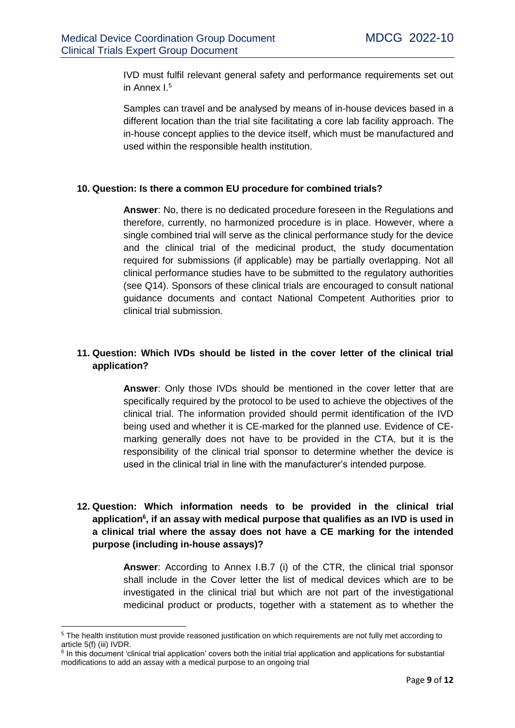IVD must fulfil relevant general safety and performance requirements set out in Annex I.<sup>5</sup>

Samples can travel and be analysed by means of in-house devices based in a different location than the trial site facilitating a core lab facility approach. The in-house concept applies to the device itself, which must be manufactured and used within the responsible health institution.

#### **10. Question: Is there a common EU procedure for combined trials?**

**Answer**: No, there is no dedicated procedure foreseen in the Regulations and therefore, currently, no harmonized procedure is in place. However, where a single combined trial will serve as the clinical performance study for the device and the clinical trial of the medicinal product, the study documentation required for submissions (if applicable) may be partially overlapping. Not all clinical performance studies have to be submitted to the regulatory authorities (see Q14). Sponsors of these clinical trials are encouraged to consult national guidance documents and contact National Competent Authorities prior to clinical trial submission.

#### **11. Question: Which IVDs should be listed in the cover letter of the clinical trial application?**

**Answer**: Only those IVDs should be mentioned in the cover letter that are specifically required by the protocol to be used to achieve the objectives of the clinical trial. The information provided should permit identification of the IVD being used and whether it is CE-marked for the planned use. Evidence of CEmarking generally does not have to be provided in the CTA, but it is the responsibility of the clinical trial sponsor to determine whether the device is used in the clinical trial in line with the manufacturer's intended purpose.

#### **12. Question: Which information needs to be provided in the clinical trial application<sup>6</sup> , if an assay with medical purpose that qualifies as an IVD is used in a clinical trial where the assay does not have a CE marking for the intended purpose (including in-house assays)?**

**Answer**: According to Annex I.B.7 (i) of the CTR, the clinical trial sponsor shall include in the Cover letter the list of medical devices which are to be investigated in the clinical trial but which are not part of the investigational medicinal product or products, together with a statement as to whether the

1

<sup>5</sup> The health institution must provide reasoned justification on which requirements are not fully met according to article 5(f) (iii) IVDR.

<sup>&</sup>lt;sup>6</sup> In this document 'clinical trial application' covers both the initial trial application and applications for substantial modifications to add an assay with a medical purpose to an ongoing trial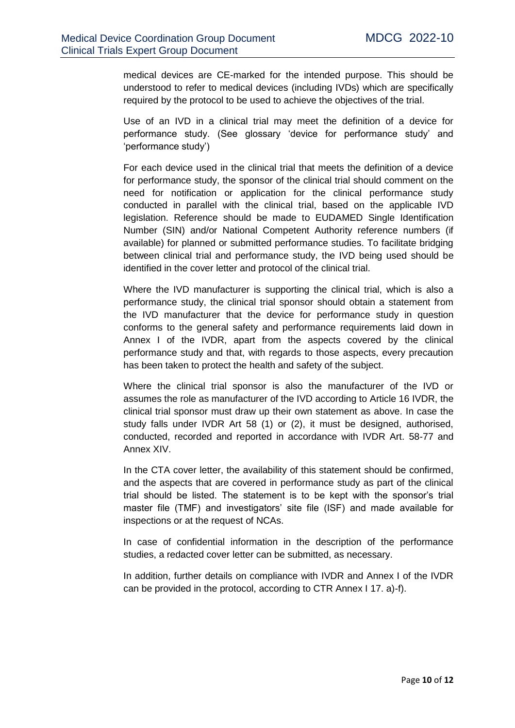medical devices are CE-marked for the intended purpose. This should be understood to refer to medical devices (including IVDs) which are specifically required by the protocol to be used to achieve the objectives of the trial.

Use of an IVD in a clinical trial may meet the definition of a device for performance study. (See glossary 'device for performance study' and 'performance study')

For each device used in the clinical trial that meets the definition of a device for performance study, the sponsor of the clinical trial should comment on the need for notification or application for the clinical performance study conducted in parallel with the clinical trial, based on the applicable IVD legislation. Reference should be made to EUDAMED Single Identification Number (SIN) and/or National Competent Authority reference numbers (if available) for planned or submitted performance studies. To facilitate bridging between clinical trial and performance study, the IVD being used should be identified in the cover letter and protocol of the clinical trial.

Where the IVD manufacturer is supporting the clinical trial, which is also a performance study, the clinical trial sponsor should obtain a statement from the IVD manufacturer that the device for performance study in question conforms to the general safety and performance requirements laid down in Annex I of the IVDR, apart from the aspects covered by the clinical performance study and that, with regards to those aspects, every precaution has been taken to protect the health and safety of the subject.

Where the clinical trial sponsor is also the manufacturer of the IVD or assumes the role as manufacturer of the IVD according to Article 16 IVDR, the clinical trial sponsor must draw up their own statement as above. In case the study falls under IVDR Art 58 (1) or (2), it must be designed, authorised, conducted, recorded and reported in accordance with IVDR Art. 58-77 and Annex XIV.

In the CTA cover letter, the availability of this statement should be confirmed, and the aspects that are covered in performance study as part of the clinical trial should be listed. The statement is to be kept with the sponsor's trial master file (TMF) and investigators' site file (ISF) and made available for inspections or at the request of NCAs.

In case of confidential information in the description of the performance studies, a redacted cover letter can be submitted, as necessary.

In addition, further details on compliance with IVDR and Annex I of the IVDR can be provided in the protocol, according to CTR Annex I 17. a)-f).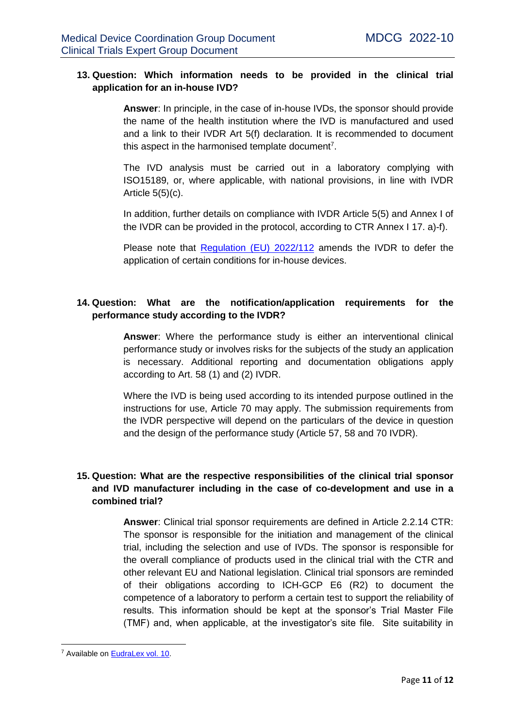#### **13. Question: Which information needs to be provided in the clinical trial application for an in-house IVD?**

**Answer**: In principle, in the case of in-house IVDs, the sponsor should provide the name of the health institution where the IVD is manufactured and used and a link to their IVDR Art 5(f) declaration. It is recommended to document this aspect in the harmonised template document<sup>7</sup>.

The IVD analysis must be carried out in a laboratory complying with ISO15189, or, where applicable, with national provisions, in line with IVDR Article  $5(5)(c)$ .

In addition, further details on compliance with IVDR Article 5(5) and Annex I of the IVDR can be provided in the protocol, according to CTR Annex I 17. a)-f).

Please note that [Regulation \(EU\) 2022/112](https://eur-lex.europa.eu/legal-content/EN/TXT/?uri=CELEX%3A32022R0112) amends the IVDR to defer the application of certain conditions for in-house devices.

#### **14. Question: What are the notification/application requirements for the performance study according to the IVDR?**

**Answer**: Where the performance study is either an interventional clinical performance study or involves risks for the subjects of the study an application is necessary. Additional reporting and documentation obligations apply according to Art. 58 (1) and (2) IVDR.

Where the IVD is being used according to its intended purpose outlined in the instructions for use, Article 70 may apply. The submission requirements from the IVDR perspective will depend on the particulars of the device in question and the design of the performance study (Article 57, 58 and 70 IVDR).

#### **15. Question: What are the respective responsibilities of the clinical trial sponsor and IVD manufacturer including in the case of co-development and use in a combined trial?**

**Answer**: Clinical trial sponsor requirements are defined in Article 2.2.14 CTR: The sponsor is responsible for the initiation and management of the clinical trial, including the selection and use of IVDs. The sponsor is responsible for the overall compliance of products used in the clinical trial with the CTR and other relevant EU and National legislation. Clinical trial sponsors are reminded of their obligations according to ICH-GCP E6 (R2) to document the competence of a laboratory to perform a certain test to support the reliability of results. This information should be kept at the sponsor's Trial Master File (TMF) and, when applicable, at the investigator's site file. Site suitability in

 $\overline{\phantom{a}}$ <sup>7</sup> Available on [EudraLex vol. 10.](https://ec.europa.eu/health/documents/eudralex/vol-10_en#fragment1)